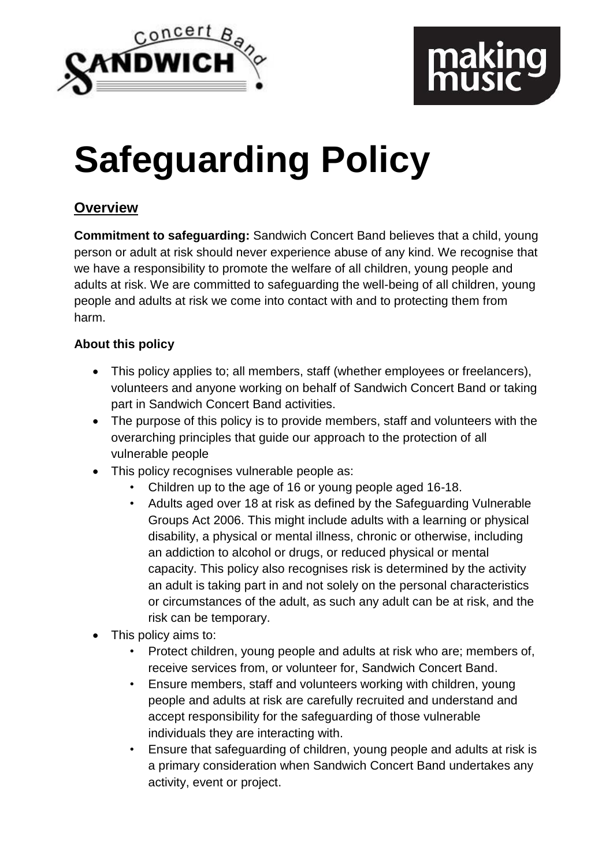

# **Safeguarding Policy**

# **Overview**

**Commitment to safeguarding:** Sandwich Concert Band believes that a child, young person or adult at risk should never experience abuse of any kind. We recognise that we have a responsibility to promote the welfare of all children, young people and adults at risk. We are committed to safeguarding the well-being of all children, young people and adults at risk we come into contact with and to protecting them from harm.

# **About this policy**

- This policy applies to; all members, staff (whether employees or freelancers), volunteers and anyone working on behalf of Sandwich Concert Band or taking part in Sandwich Concert Band activities.
- The purpose of this policy is to provide members, staff and volunteers with the overarching principles that guide our approach to the protection of all vulnerable people
- This policy recognises vulnerable people as:
	- Children up to the age of 16 or young people aged 16-18.
	- Adults aged over 18 at risk as defined by the Safeguarding Vulnerable Groups Act 2006. This might include adults with a learning or physical disability, a physical or mental illness, chronic or otherwise, including an addiction to alcohol or drugs, or reduced physical or mental capacity. This policy also recognises risk is determined by the activity an adult is taking part in and not solely on the personal characteristics or circumstances of the adult, as such any adult can be at risk, and the risk can be temporary.
- This policy aims to:
	- Protect children, young people and adults at risk who are; members of, receive services from, or volunteer for, Sandwich Concert Band.
	- Ensure members, staff and volunteers working with children, young people and adults at risk are carefully recruited and understand and accept responsibility for the safeguarding of those vulnerable individuals they are interacting with.
	- Ensure that safeguarding of children, young people and adults at risk is a primary consideration when Sandwich Concert Band undertakes any activity, event or project.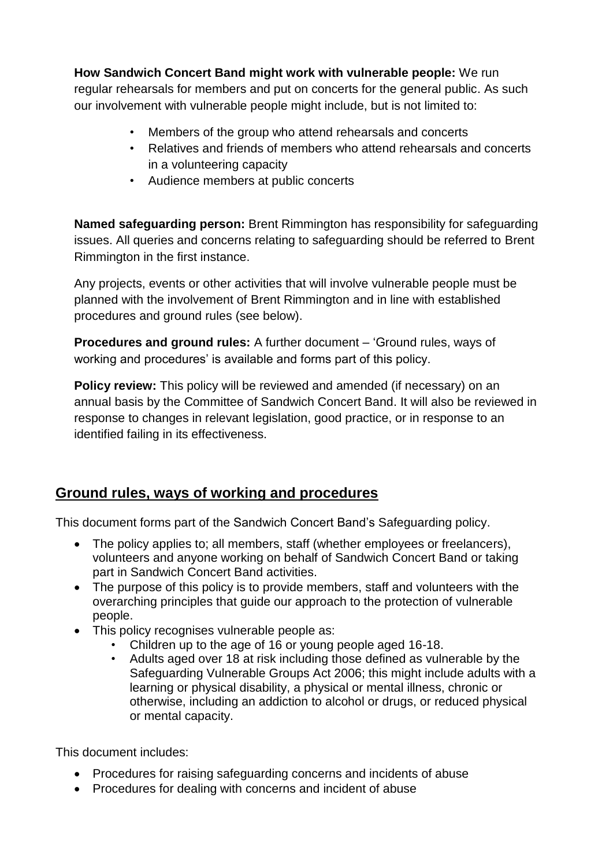**How Sandwich Concert Band might work with vulnerable people:** We run regular rehearsals for members and put on concerts for the general public. As such our involvement with vulnerable people might include, but is not limited to:

- Members of the group who attend rehearsals and concerts
- Relatives and friends of members who attend rehearsals and concerts in a volunteering capacity
- Audience members at public concerts

**Named safeguarding person:** Brent Rimmington has responsibility for safeguarding issues. All queries and concerns relating to safeguarding should be referred to Brent Rimmington in the first instance.

Any projects, events or other activities that will involve vulnerable people must be planned with the involvement of Brent Rimmington and in line with established procedures and ground rules (see below).

**Procedures and ground rules:** A further document – 'Ground rules, ways of working and procedures' is available and forms part of this policy.

**Policy review:** This policy will be reviewed and amended (if necessary) on an annual basis by the Committee of Sandwich Concert Band. It will also be reviewed in response to changes in relevant legislation, good practice, or in response to an identified failing in its effectiveness.

# **Ground rules, ways of working and procedures**

This document forms part of the Sandwich Concert Band's Safeguarding policy.

- The policy applies to; all members, staff (whether employees or freelancers), volunteers and anyone working on behalf of Sandwich Concert Band or taking part in Sandwich Concert Band activities.
- The purpose of this policy is to provide members, staff and volunteers with the overarching principles that guide our approach to the protection of vulnerable people.
- This policy recognises vulnerable people as:
	- Children up to the age of 16 or young people aged 16-18.
	- Adults aged over 18 at risk including those defined as vulnerable by the Safeguarding Vulnerable Groups Act 2006; this might include adults with a learning or physical disability, a physical or mental illness, chronic or otherwise, including an addiction to alcohol or drugs, or reduced physical or mental capacity.

This document includes:

- Procedures for raising safeguarding concerns and incidents of abuse
- Procedures for dealing with concerns and incident of abuse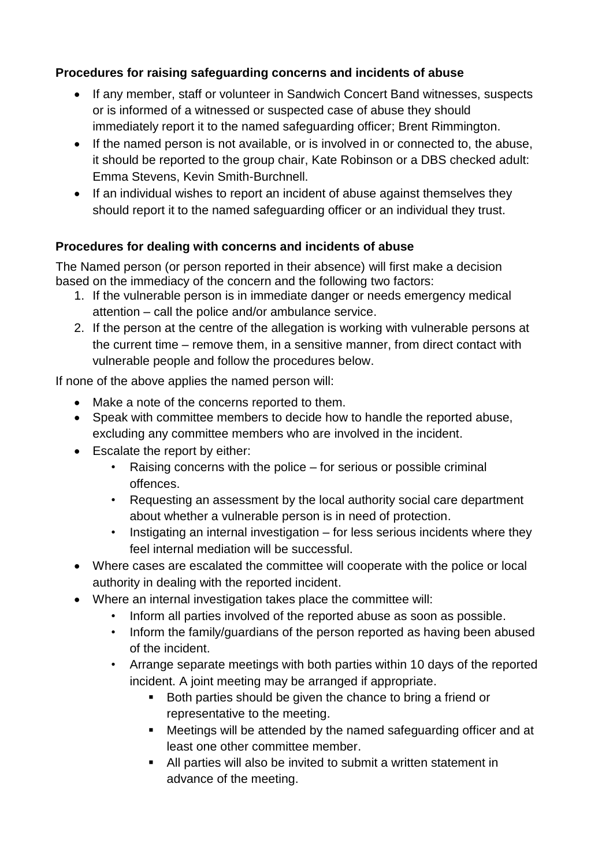### **Procedures for raising safeguarding concerns and incidents of abuse**

- If any member, staff or volunteer in Sandwich Concert Band witnesses, suspects or is informed of a witnessed or suspected case of abuse they should immediately report it to the named safeguarding officer; Brent Rimmington.
- If the named person is not available, or is involved in or connected to, the abuse, it should be reported to the group chair, Kate Robinson or a DBS checked adult: Emma Stevens, Kevin Smith-Burchnell.
- If an individual wishes to report an incident of abuse against themselves they should report it to the named safeguarding officer or an individual they trust.

# **Procedures for dealing with concerns and incidents of abuse**

The Named person (or person reported in their absence) will first make a decision based on the immediacy of the concern and the following two factors:

- 1. If the vulnerable person is in immediate danger or needs emergency medical attention – call the police and/or ambulance service.
- 2. If the person at the centre of the allegation is working with vulnerable persons at the current time – remove them, in a sensitive manner, from direct contact with vulnerable people and follow the procedures below.

If none of the above applies the named person will:

- Make a note of the concerns reported to them.
- Speak with committee members to decide how to handle the reported abuse, excluding any committee members who are involved in the incident.
- Escalate the report by either:
	- Raising concerns with the police for serious or possible criminal offences.
	- Requesting an assessment by the local authority social care department about whether a vulnerable person is in need of protection.
	- Instigating an internal investigation  $-$  for less serious incidents where they feel internal mediation will be successful.
- Where cases are escalated the committee will cooperate with the police or local authority in dealing with the reported incident.
- Where an internal investigation takes place the committee will:
	- Inform all parties involved of the reported abuse as soon as possible.
	- Inform the family/guardians of the person reported as having been abused of the incident.
	- Arrange separate meetings with both parties within 10 days of the reported incident. A joint meeting may be arranged if appropriate.
		- Both parties should be given the chance to bring a friend or representative to the meeting.
		- Meetings will be attended by the named safeguarding officer and at least one other committee member.
		- All parties will also be invited to submit a written statement in advance of the meeting.